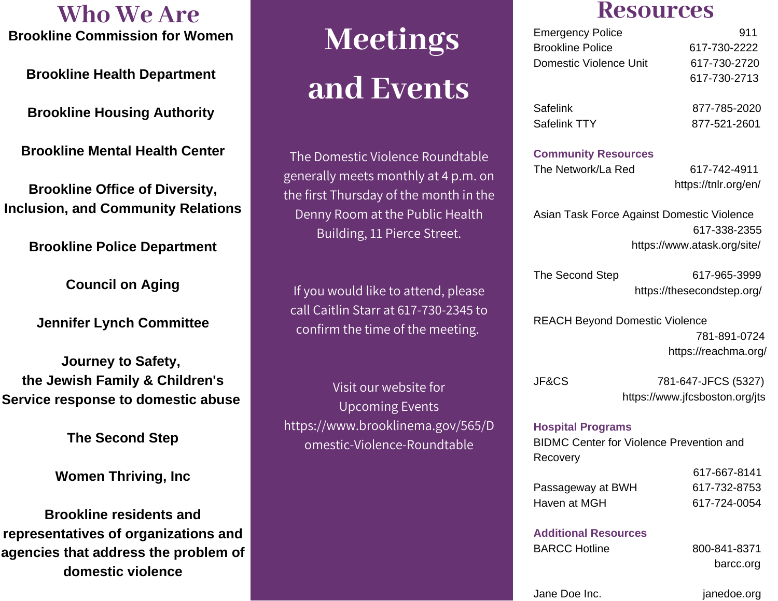### **Who We Are Brookline Commission for Women**

**Brookline Health Department**

**Brookline Housing Authority**

**Brookline Mental Health Center**

**Brookline Office of Diversity, Inclusion, and Community Relations**

**Brookline Police Department**

**Council on Aging**

**Jennifer Lynch Committee**

**Journey to Safety, the Jewish Family & Children's Service response to domestic abuse**

**The Second Step**

**Women Thriving, Inc**

**Brookline residents and representatives of organizations and agencies that address the problem of domestic violence**

# **Meetings and Events**

The Domestic Violence Roundtable generally meets monthly at 4 p.m. on the first Thursday of the month in the Denny Room at the Public Health Building, 11 Pierce Street.

If you would like to attend, please call Caitlin Starr at 617-730-2345 to confirm the time of the meeting.

Visit our website for Upcoming Events https://www.brooklinema.gov/565/D omestic-Violence-Roundtable

## **Resources**

| <b>Emergency Police</b> | 911          |
|-------------------------|--------------|
| <b>Brookline Police</b> | 617-730-2222 |
| Domestic Violence Unit  | 617-730-2720 |
|                         | 617-730-2713 |
| Safelink                | 877-785-2020 |
| Safelink TTY            | 877-521-2601 |
|                         |              |

**Community Resources**

The Network/La Red 617-742-4911 https://tnlr.org/en/

Asian Task Force Against Domestic Violence 617-338-2355 https://www.atask.org/site/

The Second Step 617-965-3999 https://thesecondstep.org/

REACH Beyond Domestic Violence 781-891-0724 https://reachma.org/

JF&CS 781-647-JFCS (5327) https://www.jfcsboston.org/jts

#### **Hospital Programs**

BIDMC Center for Violence Prevention and Recovery

Passageway at BWH 617-732-8753 Haven at MGH 617-724-0054

617-667-8141

#### **Additional Resources**

BARCC Hotline 800-841-8371

barcc.org

Jane Doe Inc. **janedoe.org**